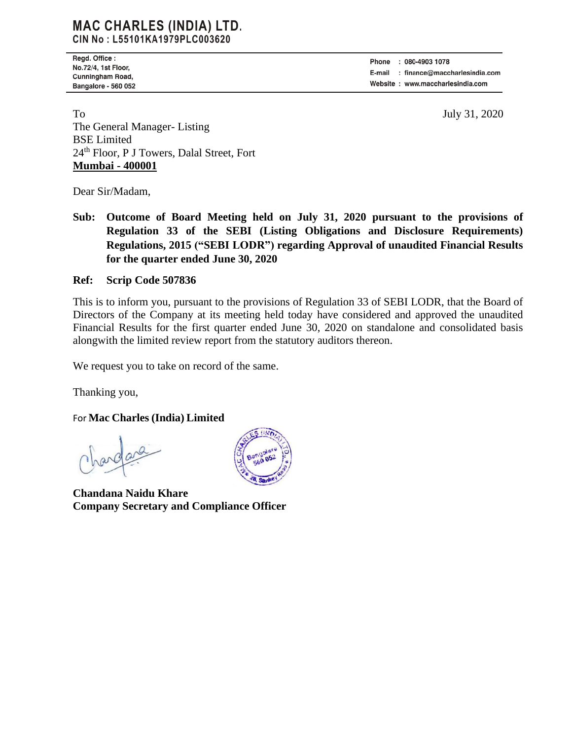## **MAC CHARLES (INDIA) LTD.** CIN No: L55101KA1979PLC003620

Regd. Office : No.72/4, 1st Floor, Cunningham Road, Bangalore - 560 052

: 080-4903 1078 Phone E-mail : finance@maccharlesindia.com Website: www.maccharlesindia.com

To July 31, 2020 The General Manager- Listing BSE Limited 24th Floor, P J Towers, Dalal Street, Fort **Mumbai - 400001**

Dear Sir/Madam,

**Sub: Outcome of Board Meeting held on July 31, 2020 pursuant to the provisions of Regulation 33 of the SEBI (Listing Obligations and Disclosure Requirements) Regulations, 2015 ("SEBI LODR") regarding Approval of unaudited Financial Results for the quarter ended June 30, 2020** 

## **Ref: Scrip Code 507836**

This is to inform you, pursuant to the provisions of Regulation 33 of SEBI LODR, that the Board of Directors of the Company at its meeting held today have considered and approved the unaudited Financial Results for the first quarter ended June 30, 2020 on standalone and consolidated basis alongwith the limited review report from the statutory auditors thereon.

We request you to take on record of the same.

Thanking you,

For **Mac Charles (India) Limited**

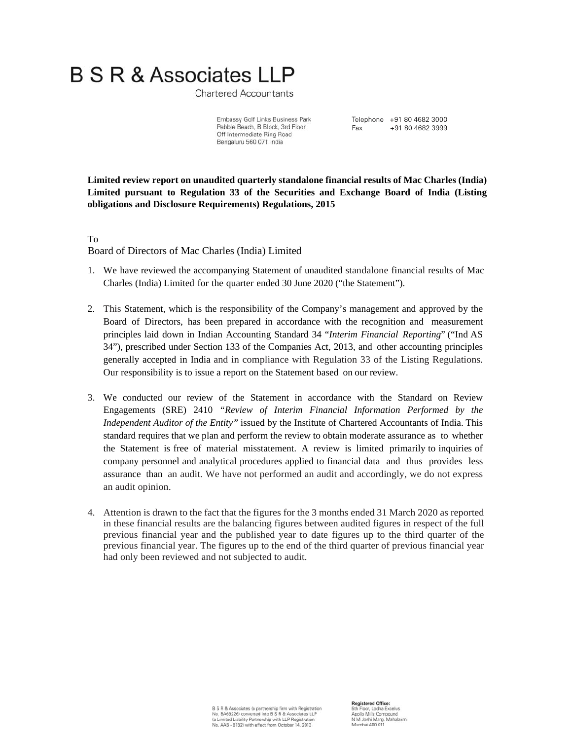**Chartered Accountants** 

Embassy Golf Links Business Park Pebble Beach, B Block, 3rd Floor Off Intermediate Ring Road Bengaluru 560 071 India

Telephone +91 80 4682 3000 Fax +91 80 4682 3999

**Limited review report on unaudited quarterly standalone financial results of Mac Charles (India) Limited pursuant to Regulation 33 of the Securities and Exchange Board of India (Listing obligations and Disclosure Requirements) Regulations, 2015**

To Board of Directors of Mac Charles (India) Limited

- 1. We have reviewed the accompanying Statement of unaudited standalone financial results of Mac Charles (India) Limited for the quarter ended 30 June 2020 ("the Statement").
- 2. This Statement, which is the responsibility of the Company's management and approved by the Board of Directors, has been prepared in accordance with the recognition and measurement principles laid down in Indian Accounting Standard 34 "*Interim Financial Reporting*" ("Ind AS 34"), prescribed under Section 133 of the Companies Act, 2013, and other accounting principles generally accepted in India and in compliance with Regulation 33 of the Listing Regulations. Our responsibility is to issue a report on the Statement based on our review.
- 3. We conducted our review of the Statement in accordance with the Standard on Review Engagements (SRE) 2410 *"Review of Interim Financial Information Performed by the Independent Auditor of the Entity"* issued by the Institute of Chartered Accountants of India. This standard requires that we plan and perform the review to obtain moderate assurance as to whether the Statement is free of material misstatement. A review is limited primarily to inquiries of company personnel and analytical procedures applied to financial data and thus provides less assurance than an audit. We have not performed an audit and accordingly, we do not express an audit opinion.
- 4. Attention is drawn to the fact that the figures for the 3 months ended 31 March 2020 as reported in these financial results are the balancing figures between audited figures in respect of the full previous financial year and the published year to date figures up to the third quarter of the previous financial year. The figures up to the end of the third quarter of previous financial year had only been reviewed and not subjected to audit.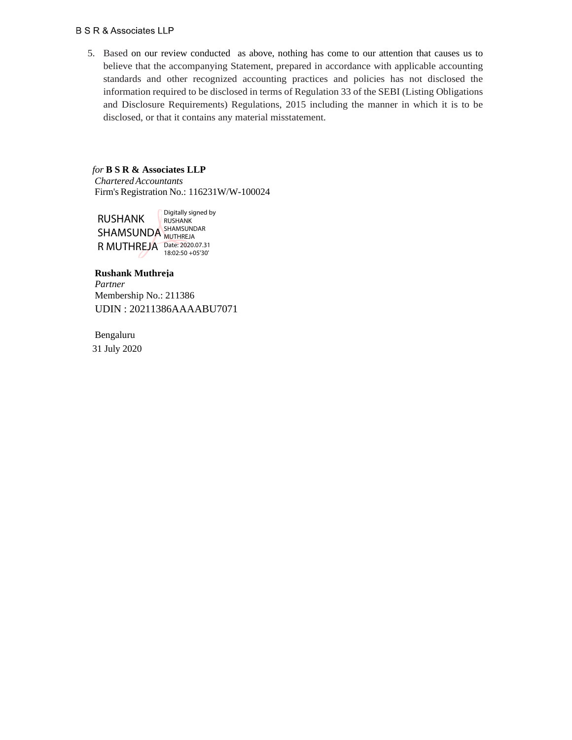5. Based on our review conducted as above, nothing has come to our attention that causes us to believe that the accompanying Statement, prepared in accordance with applicable accounting standards and other recognized accounting practices and policies has not disclosed the information required to be disclosed in terms of Regulation 33 of the SEBI (Listing Obligations and Disclosure Requirements) Regulations, 2015 including the manner in which it is to be disclosed, or that it contains any material misstatement.

## *for* **B S R & Associates LLP**  *Chartered Accountants*

Firm's Registration No.: 116231W/W-100024

RUSHANK SHAMSUNDA SHAMSUNDAR R MUTHREJA Date: 2020.07.31 Digitally signed by RUSHANK **MUTHREJA** 18:02:50 +05'30'

## **Rushank Muthreja**

*Partner* Membership No.: 211386 UDIN : 20211386AAAABU7071

 Bengaluru 31 July 2020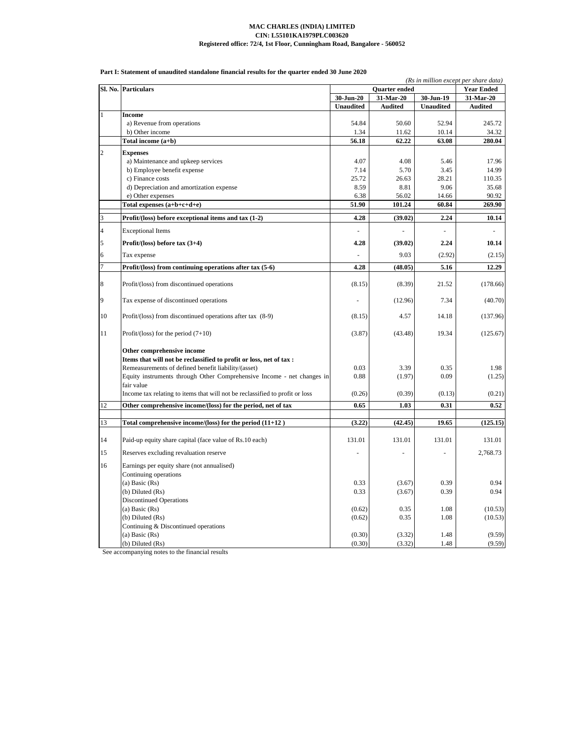| Part I: Statement of unaudited standalone financial results for the quarter ended 30 June 2020 |  |  |  |  |  |
|------------------------------------------------------------------------------------------------|--|--|--|--|--|
|                                                                                                |  |  |  |  |  |

|                | Sl. No. Particulars                                                          |                  | (Rs in million except per share data)<br><b>Year Ended</b> |                  |                |
|----------------|------------------------------------------------------------------------------|------------------|------------------------------------------------------------|------------------|----------------|
|                |                                                                              | 30-Jun-20        | Quarter ended<br>31-Mar-20                                 | 30-Jun-19        | 31-Mar-20      |
|                |                                                                              | <b>Unaudited</b> | <b>Audited</b>                                             | <b>Unaudited</b> | <b>Audited</b> |
| $\mathbf{1}$   | <b>Income</b>                                                                |                  |                                                            |                  |                |
|                | a) Revenue from operations                                                   | 54.84            | 50.60                                                      | 52.94            | 245.72         |
|                | b) Other income                                                              | 1.34             | 11.62                                                      | 10.14            | 34.32          |
|                | Total income (a+b)                                                           | 56.18            | 62.22                                                      | 63.08            | 280.04         |
|                |                                                                              |                  |                                                            |                  |                |
| $\overline{c}$ | <b>Expenses</b>                                                              | 4.07             | 4.08                                                       | 5.46             | 17.96          |
|                | a) Maintenance and upkeep services                                           | 7.14             | 5.70                                                       | 3.45             | 14.99          |
|                | b) Employee benefit expense<br>c) Finance costs                              | 25.72            | 26.63                                                      | 28.21            | 110.35         |
|                | d) Depreciation and amortization expense                                     | 8.59             | 8.81                                                       | 9.06             | 35.68          |
|                |                                                                              |                  | 56.02                                                      | 14.66            | 90.92          |
|                | e) Other expenses                                                            | 6.38<br>51.90    |                                                            | 60.84            | 269.90         |
|                | Total expenses (a+b+c+d+e)                                                   |                  | 101.24                                                     |                  |                |
| 3              | Profit/(loss) before exceptional items and tax (1-2)                         | 4.28             | (39.02)                                                    | 2.24             | 10.14          |
| $\overline{4}$ | <b>Exceptional Items</b>                                                     |                  |                                                            |                  |                |
| 5              | Profit/(loss) before tax $(3+4)$                                             | 4.28             | (39.02)                                                    | 2.24             | 10.14          |
| 6              | Tax expense                                                                  |                  | 9.03                                                       | (2.92)           | (2.15)         |
| $\overline{7}$ | Profit/(loss) from continuing operations after tax (5-6)                     | 4.28             | (48.05)                                                    | 5.16             | 12.29          |
|                |                                                                              |                  |                                                            |                  |                |
| 8              | Profit/(loss) from discontinued operations                                   | (8.15)           | (8.39)                                                     | 21.52            | (178.66)       |
| 9              | Tax expense of discontinued operations                                       |                  | (12.96)                                                    | 7.34             | (40.70)        |
| 10             | Profit/(loss) from discontinued operations after tax (8-9)                   | (8.15)           | 4.57                                                       | 14.18            | (137.96)       |
| 11             | Profit/(loss) for the period $(7+10)$                                        | (3.87)           | (43.48)                                                    | 19.34            | (125.67)       |
|                | Other comprehensive income                                                   |                  |                                                            |                  |                |
|                | Items that will not be reclassified to profit or loss, net of tax :          |                  |                                                            |                  |                |
|                | Remeasurements of defined benefit liability/(asset)                          | 0.03             | 3.39                                                       | 0.35             | 1.98           |
|                | Equity instruments through Other Comprehensive Income - net changes in       | 0.88             | (1.97)                                                     | 0.09             | (1.25)         |
|                | fair value                                                                   |                  |                                                            |                  |                |
|                | Income tax relating to items that will not be reclassified to profit or loss | (0.26)           | (0.39)                                                     | (0.13)           | (0.21)         |
| 12             | Other comprehensive income/(loss) for the period, net of tax                 | 0.65             | 1.03                                                       | 0.31             | $0.52\,$       |
|                |                                                                              |                  |                                                            |                  |                |
| 13             | Total comprehensive income/(loss) for the period $(11+12)$                   | (3.22)           | (42.45)                                                    | 19.65            | (125.15)       |
| 14             | Paid-up equity share capital (face value of Rs.10 each)                      | 131.01           | 131.01                                                     | 131.01           | 131.01         |
| 15             | Reserves excluding revaluation reserve                                       |                  |                                                            |                  | 2,768.73       |
| 16             | Earnings per equity share (not annualised)                                   |                  |                                                            |                  |                |
|                | Continuing operations                                                        |                  |                                                            |                  |                |
|                | (a) Basic $(Rs)$                                                             | 0.33             | (3.67)                                                     | 0.39             | 0.94           |
|                | (b) Diluted (Rs)                                                             | 0.33             | (3.67)                                                     | 0.39             | 0.94           |
|                | <b>Discontinued Operations</b>                                               |                  |                                                            |                  |                |
|                | (a) Basic $(Rs)$                                                             | (0.62)           | 0.35                                                       | 1.08             | (10.53)        |
|                | $(b)$ Diluted $(Rs)$                                                         | (0.62)           | 0.35                                                       | 1.08             | (10.53)        |
|                | Continuing & Discontinued operations                                         |                  |                                                            |                  |                |
|                | (a) Basic $(Rs)$                                                             | (0.30)           | (3.32)                                                     | 1.48             | (9.59)         |
|                | $(b)$ Diluted $(Rs)$                                                         | (0.30)           | (3.32)                                                     | 1.48             | (9.59)         |

See accompanying notes to the financial results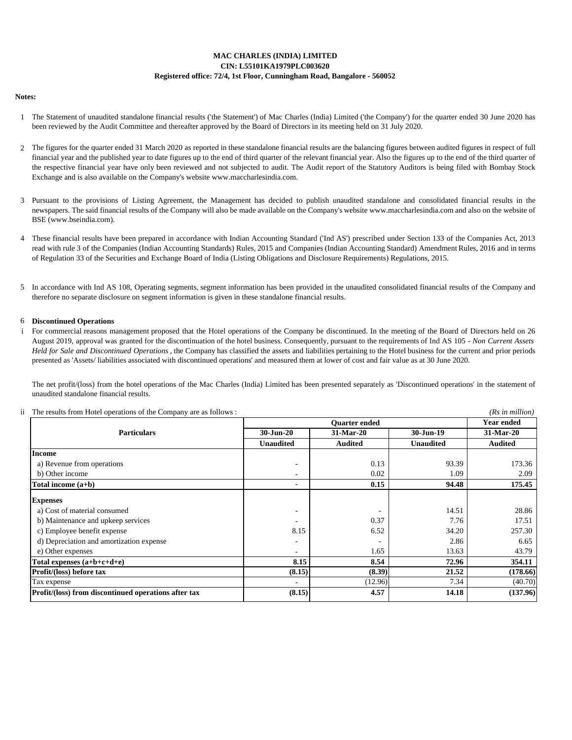## **CIN: L55101KA1979PLC003620 Registered office: 72/4, 1st Floor, Cunningham Road, Bangalore - 560052 MAC CHARLES (INDIA) LIMITED**

### **Notes:**

- 1 The Statement of unaudited standalone financial results ('the Statement') of Mac Charles (India) Limited ('the Company') for the quarter ended 30 June 2020 has been reviewed by the Audit Committee and thereafter approved by the Board of Directors in its meeting held on 31 July 2020.
- 2 The figures for the quarter ended 31 March 2020 as reported in these standalone financial results are the balancing figures between audited figures in respect of full financial year and the published year to date figures up to the end of third quarter of the relevant financial year. Also the figures up to the end of the third quarter of the respective financial year have only been reviewed and not subjected to audit. The Audit report of the Statutory Auditors is being filed with Bombay Stock Exchange and is also available on the Company's website www.maccharlesindia.com.
- 3 Pursuant to the provisions of Listing Agreement, the Management has decided to publish unaudited standalone and consolidated financial results in the newspapers. The said financial results of the Company will also be made available on the Company's website www.maccharlesindia.com and also on the website of BSE (www.bseindia.com).
- 4 These financial results have been prepared in accordance with Indian Accounting Standard ('Ind AS') prescribed under Section 133 of the Companies Act, 2013 read with rule 3 of the Companies (Indian Accounting Standards) Rules, 2015 and Companies (Indian Accounting Standard) Amendment Rules, 2016 and in terms of Regulation 33 of the Securities and Exchange Board of India (Listing Obligations and Disclosure Requirements) Regulations, 2015.
- 5 In accordance with Ind AS 108, Operating segments, segment information has been provided in the unaudited consolidated financial results of the Company and therefore no separate disclosure on segment information is given in these standalone financial results.

#### 6 **Discontinued Operations**

i For commercial reasons management proposed that the Hotel operations of the Company be discontinued. In the meeting of the Board of Directors held on 26 August 2019, approval was granted for the discontinuation of the hotel business. Consequently, pursuant to the requirements of Ind AS 105 - *Non Current Assets Held for Sale and Discontinued Operations* , the Company has classified the assets and liabilities pertaining to the Hotel business for the current and prior periods presented as 'Assets/ liabilities associated with discontinued operations' and measured them at lower of cost and fair value as at 30 June 2020.

The net profit/(loss) from the hotel operations of the Mac Charles (India) Limited has been presented separately as 'Discontinued operations' in the statement of unaudited standalone financial results.

ii *(Rs in million)* The results from Hotel operations of the Company are as follows :

|                                                      |                          | Year ended     |                  |                |  |
|------------------------------------------------------|--------------------------|----------------|------------------|----------------|--|
| <b>Particulars</b>                                   | $30 - Jun - 20$          | 31-Mar-20      | 30-Jun-19        | 31-Mar-20      |  |
|                                                      | <b>Unaudited</b>         | <b>Audited</b> | <b>Unaudited</b> | <b>Audited</b> |  |
| <b>Income</b>                                        |                          |                |                  |                |  |
| a) Revenue from operations                           | ٠                        | 0.13           | 93.39            | 173.36         |  |
| b) Other income                                      | $\overline{\phantom{a}}$ | 0.02           | 1.09             | 2.09           |  |
| Total income $(a+b)$                                 | ٠                        | 0.15           | 94.48            | 175.45         |  |
| <b>Expenses</b>                                      |                          |                |                  |                |  |
| a) Cost of material consumed                         | ۰                        |                | 14.51            | 28.86          |  |
| b) Maintenance and upkeep services                   | ٠                        | 0.37           | 7.76             | 17.51          |  |
| c) Employee benefit expense                          | 8.15                     | 6.52           | 34.20            | 257.30         |  |
| d) Depreciation and amortization expense             |                          |                | 2.86             | 6.65           |  |
| e) Other expenses                                    | ٠                        | 1.65           | 13.63            | 43.79          |  |
| Total expenses $(a+b+c+d+e)$                         | 8.15                     | 8.54           | 72.96            | 354.11         |  |
| Profit/(loss) before tax                             | (8.15)                   | (8.39)         | 21.52            | (178.66)       |  |
| Tax expense                                          | ٠                        | (12.96)        | 7.34             | (40.70)        |  |
| Profit/(loss) from discontinued operations after tax | (8.15)                   | 4.57           | 14.18            | (137.96)       |  |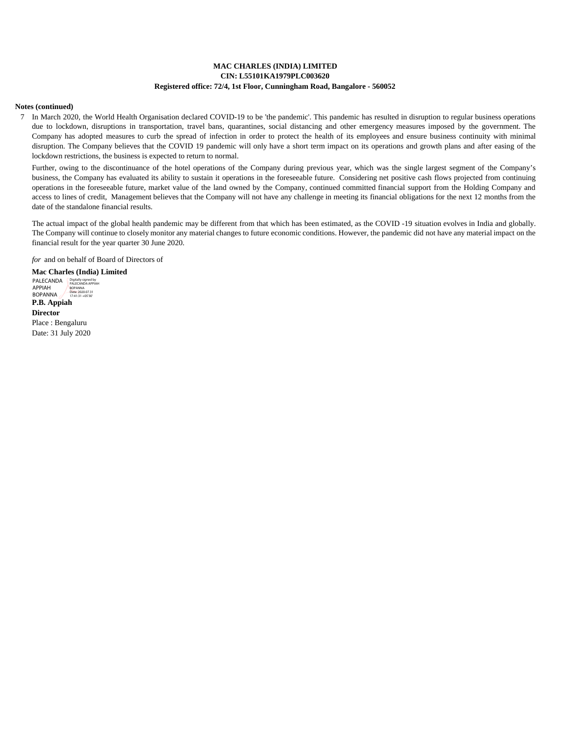### **CIN: L55101KA1979PLC003620 Registered office: 72/4, 1st Floor, Cunningham Road, Bangalore - 560052 MAC CHARLES (INDIA) LIMITED**

#### **Notes (continued)**

7 In March 2020, the World Health Organisation declared COVID-19 to be 'the pandemic'. This pandemic has resulted in disruption to regular business operations due to lockdown, disruptions in transportation, travel bans, quarantines, social distancing and other emergency measures imposed by the government. The Company has adopted measures to curb the spread of infection in order to protect the health of its employees and ensure business continuity with minimal disruption. The Company believes that the COVID 19 pandemic will only have a short term impact on its operations and growth plans and after easing of the lockdown restrictions, the business is expected to return to normal.

Further, owing to the discontinuance of the hotel operations of the Company during previous year, which was the single largest segment of the Company's business, the Company has evaluated its ability to sustain it operations in the foreseeable future. Considering net positive cash flows projected from continuing operations in the foreseeable future, market value of the land owned by the Company, continued committed financial support from the Holding Company and access to lines of credit, Management believes that the Company will not have any challenge in meeting its financial obligations for the next 12 months from the date of the standalone financial results.

The actual impact of the global health pandemic may be different from that which has been estimated, as the COVID -19 situation evolves in India and globally. The Company will continue to closely monitor any material changes to future economic conditions. However, the pandemic did not have any material impact on the financial result for the year quarter 30 June 2020.

*for* and on behalf of Board of Directors of

**Mac Charles (India) Limited P.B. Appiah Director** Place : Bengaluru Date: 31 July 2020 PALECANDA **Digitally signed by** APPIAH BOPANNA BOPANNA Date: 2020.07.31 17:41:31 +05'30'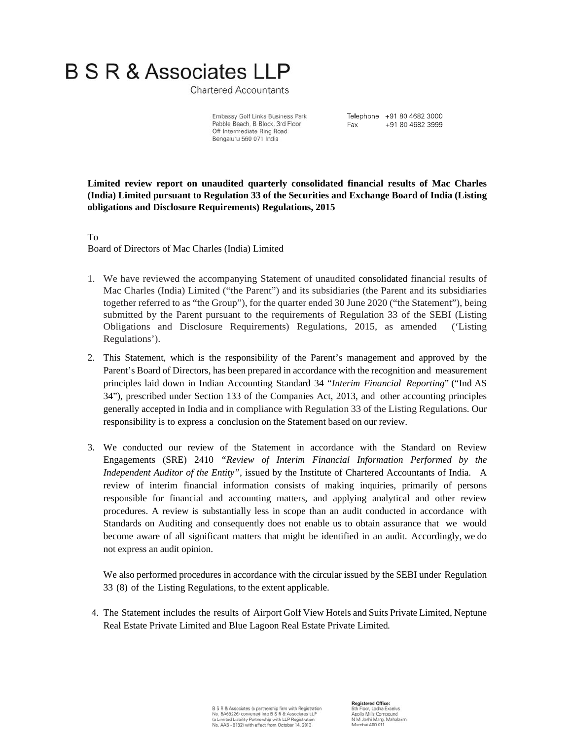**Chartered Accountants** 

Telephone +91 80 4682 3000 +91 80 4682 3999 Fax:

Embassy Golf Links Business Park Pebble Beach, B Block, 3rd Floor Off Intermediate Ring Road Bengaluru 560 071 India

**Limited review report on unaudited quarterly consolidated financial results of Mac Charles (India) Limited pursuant to Regulation 33 of the Securities and Exchange Board of India (Listing obligations and Disclosure Requirements) Regulations, 2015** 

To Board of Directors of Mac Charles (India) Limited

- 1. We have reviewed the accompanying Statement of unaudited consolidated financial results of Mac Charles (India) Limited ("the Parent") and its subsidiaries (the Parent and its subsidiaries together referred to as "the Group"), for the quarter ended 30 June 2020 ("the Statement"), being submitted by the Parent pursuant to the requirements of Regulation 33 of the SEBI (Listing Obligations and Disclosure Requirements) Regulations, 2015, as amended ('Listing Regulations').
- 2. This Statement, which is the responsibility of the Parent's management and approved by the Parent's Board of Directors, has been prepared in accordance with the recognition and measurement principles laid down in Indian Accounting Standard 34 "*Interim Financial Reporting*" ("Ind AS 34"), prescribed under Section 133 of the Companies Act, 2013, and other accounting principles generally accepted in India and in compliance with Regulation 33 of the Listing Regulations. Our responsibility is to express a conclusion on the Statement based on our review.
- 3. We conducted our review of the Statement in accordance with the Standard on Review Engagements (SRE) 2410 *"Review of Interim Financial Information Performed by the Independent Auditor of the Entity",* issued by the Institute of Chartered Accountants of India. A review of interim financial information consists of making inquiries, primarily of persons responsible for financial and accounting matters, and applying analytical and other review procedures. A review is substantially less in scope than an audit conducted in accordance with Standards on Auditing and consequently does not enable us to obtain assurance that we would become aware of all significant matters that might be identified in an audit. Accordingly, we do not express an audit opinion.

We also performed procedures in accordance with the circular issued by the SEBI under Regulation 33 (8) of the Listing Regulations, to the extent applicable.

4. The Statement includes the results of Airport Golf View Hotels and Suits Private Limited, Neptune Real Estate Private Limited and Blue Lagoon Real Estate Private Limited*.*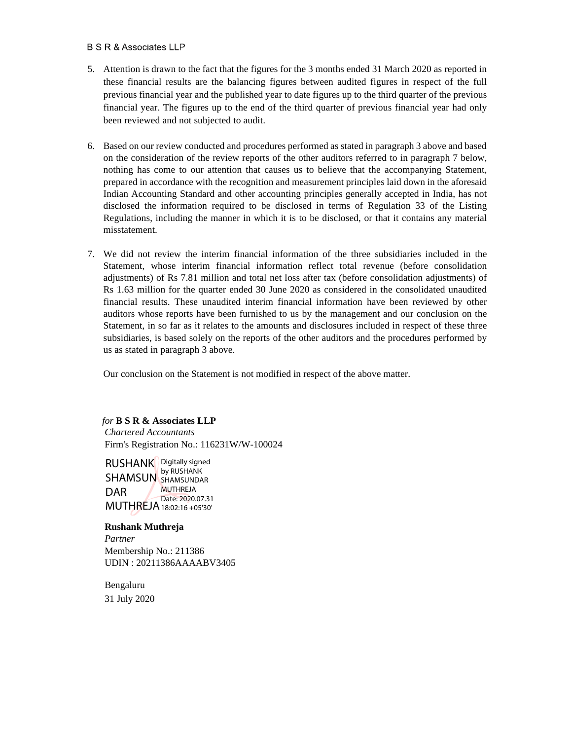- 5. Attention is drawn to the fact that the figures for the 3 months ended 31 March 2020 as reported in these financial results are the balancing figures between audited figures in respect of the full previous financial year and the published year to date figures up to the third quarter of the previous financial year. The figures up to the end of the third quarter of previous financial year had only been reviewed and not subjected to audit.
- 6. Based on our review conducted and procedures performed as stated in paragraph 3 above and based on the consideration of the review reports of the other auditors referred to in paragraph 7 below, nothing has come to our attention that causes us to believe that the accompanying Statement, prepared in accordance with the recognition and measurement principles laid down in the aforesaid Indian Accounting Standard and other accounting principles generally accepted in India, has not disclosed the information required to be disclosed in terms of Regulation 33 of the Listing Regulations, including the manner in which it is to be disclosed, or that it contains any material misstatement.
- 7. We did not review the interim financial information of the three subsidiaries included in the Statement, whose interim financial information reflect total revenue (before consolidation adjustments) of Rs 7.81 million and total net loss after tax (before consolidation adjustments) of Rs 1.63 million for the quarter ended 30 June 2020 as considered in the consolidated unaudited financial results. These unaudited interim financial information have been reviewed by other auditors whose reports have been furnished to us by the management and our conclusion on the Statement, in so far as it relates to the amounts and disclosures included in respect of these three subsidiaries, is based solely on the reports of the other auditors and the procedures performed by us as stated in paragraph 3 above.

Our conclusion on the Statement is not modified in respect of the above matter.

*for* **B S R & Associates LLP**

*Chartered Accountants*  Firm's Registration No.: 116231W/W-100024

RUSHANK Digitally signed SHAMSUN SHAMSUNDAR DAR MUTHREJA 18:02:16 +05'30' by RUSHANK MUTHREJA Date: 2020.07.31

## **Rushank Muthreja**

*Partner* Membership No.: 211386 UDIN : 20211386AAAABV3405

 Bengaluru 31 July 2020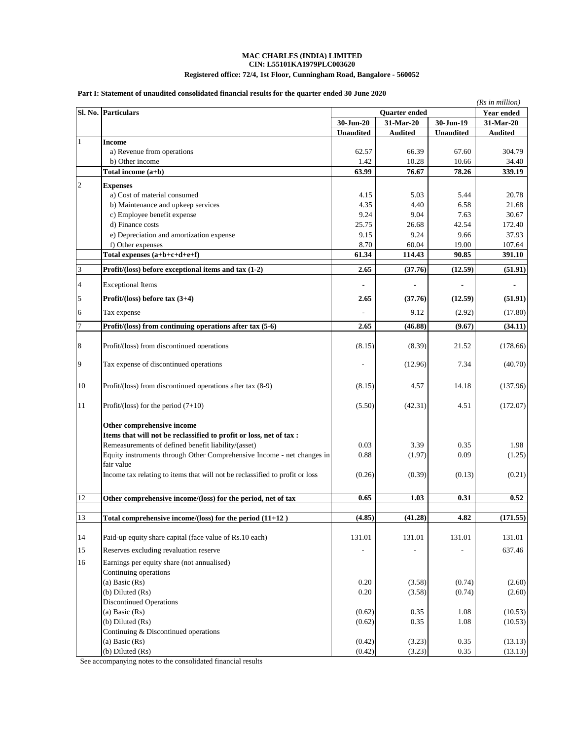### **MAC CHARLES (INDIA) LIMITED CIN: L55101KA1979PLC003620**

## **Registered office: 72/4, 1st Floor, Cunningham Road, Bangalore - 560052**

#### **Part I: Statement of unaudited consolidated financial results for the quarter ended 30 June 2020**

| Sl. No. Particulars<br>Quarter ended<br><b>Year ended</b><br>31-Mar-20<br>30-Jun-19<br>31-Mar-20<br>30-Jun-20<br><b>Unaudited</b><br><b>Audited</b><br><b>Unaudited</b><br><b>Audited</b><br>$\mathbf{1}$<br><b>Income</b><br>a) Revenue from operations<br>62.57<br>66.39<br>304.79<br>67.60<br>b) Other income<br>10.28<br>10.66<br>34.40<br>1.42<br>63.99<br>76.67<br>78.26<br>339.19<br>Total income (a+b)<br>$\overline{2}$<br><b>Expenses</b><br>a) Cost of material consumed<br>5.03<br>4.15<br>5.44<br>b) Maintenance and upkeep services<br>4.35<br>6.58<br>4.40<br>c) Employee benefit expense<br>9.24<br>9.04<br>7.63<br>d) Finance costs<br>25.75<br>42.54<br>26.68<br>e) Depreciation and amortization expense<br>9.15<br>9.24<br>9.66<br>f) Other expenses<br>8.70<br>60.04<br>19.00<br>Total expenses (a+b+c+d+e+f)<br>61.34<br>90.85<br>114.43<br>$\mathfrak{Z}$<br>2.65<br>(12.59)<br>Profit/(loss) before exceptional items and tax (1-2)<br>(37.76)<br><b>Exceptional Items</b><br>$\overline{4}$<br>5<br>Profit/(loss) before tax (3+4)<br>(37.76)<br>(12.59)<br>2.65<br>9.12<br>(2.92)<br>6<br>Tax expense<br>$\overline{7}$<br>2.65<br>(46.88)<br>Profit/(loss) from continuing operations after tax (5-6)<br>(9.67)<br>8<br>Profit/(loss) from discontinued operations<br>(8.15)<br>(8.39)<br>21.52<br>9<br>Tax expense of discontinued operations<br>(12.96)<br>7.34<br>10<br>Profit/(loss) from discontinued operations after tax (8-9)<br>4.57<br>(8.15)<br>14.18<br>11<br>Profit/(loss) for the period $(7+10)$<br>(5.50)<br>(42.31)<br>4.51<br>Other comprehensive income<br>Items that will not be reclassified to profit or loss, net of tax :<br>Remeasurements of defined benefit liability/(asset)<br>0.03<br>3.39<br>0.35<br>Equity instruments through Other Comprehensive Income - net changes in<br>0.88<br>(1.97)<br>0.09<br>fair value<br>Income tax relating to items that will not be reclassified to profit or loss<br>(0.26)<br>(0.39)<br>(0.13)<br>12<br>Other comprehensive income/(loss) for the period, net of tax<br>0.65<br>1.03<br>0.31<br>0.52<br>13<br>Total comprehensive income/(loss) for the period $(11+12)$<br>(4.85)<br>(41.28)<br>4.82<br>14<br>131.01<br>131.01<br>Paid-up equity share capital (face value of Rs.10 each)<br>131.01<br>131.01<br>15<br>Reserves excluding revaluation reserve<br>637.46<br>16<br>Earnings per equity share (not annualised)<br>Continuing operations<br>(a) Basic (Rs)<br>0.20<br>(3.58)<br>(0.74)<br>(2.60)<br>$(b)$ Diluted $(Rs)$<br>0.20<br>(3.58)<br>(0.74)<br>(2.60) |  |                                |  |  | (Rs in million)    |
|--------------------------------------------------------------------------------------------------------------------------------------------------------------------------------------------------------------------------------------------------------------------------------------------------------------------------------------------------------------------------------------------------------------------------------------------------------------------------------------------------------------------------------------------------------------------------------------------------------------------------------------------------------------------------------------------------------------------------------------------------------------------------------------------------------------------------------------------------------------------------------------------------------------------------------------------------------------------------------------------------------------------------------------------------------------------------------------------------------------------------------------------------------------------------------------------------------------------------------------------------------------------------------------------------------------------------------------------------------------------------------------------------------------------------------------------------------------------------------------------------------------------------------------------------------------------------------------------------------------------------------------------------------------------------------------------------------------------------------------------------------------------------------------------------------------------------------------------------------------------------------------------------------------------------------------------------------------------------------------------------------------------------------------------------------------------------------------------------------------------------------------------------------------------------------------------------------------------------------------------------------------------------------------------------------------------------------------------------------------------------------------------------------------------------------------------------------------------------------------------------------------------------------------------------------------------------|--|--------------------------------|--|--|--------------------|
|                                                                                                                                                                                                                                                                                                                                                                                                                                                                                                                                                                                                                                                                                                                                                                                                                                                                                                                                                                                                                                                                                                                                                                                                                                                                                                                                                                                                                                                                                                                                                                                                                                                                                                                                                                                                                                                                                                                                                                                                                                                                                                                                                                                                                                                                                                                                                                                                                                                                                                                                                                          |  |                                |  |  |                    |
|                                                                                                                                                                                                                                                                                                                                                                                                                                                                                                                                                                                                                                                                                                                                                                                                                                                                                                                                                                                                                                                                                                                                                                                                                                                                                                                                                                                                                                                                                                                                                                                                                                                                                                                                                                                                                                                                                                                                                                                                                                                                                                                                                                                                                                                                                                                                                                                                                                                                                                                                                                          |  |                                |  |  |                    |
|                                                                                                                                                                                                                                                                                                                                                                                                                                                                                                                                                                                                                                                                                                                                                                                                                                                                                                                                                                                                                                                                                                                                                                                                                                                                                                                                                                                                                                                                                                                                                                                                                                                                                                                                                                                                                                                                                                                                                                                                                                                                                                                                                                                                                                                                                                                                                                                                                                                                                                                                                                          |  |                                |  |  |                    |
|                                                                                                                                                                                                                                                                                                                                                                                                                                                                                                                                                                                                                                                                                                                                                                                                                                                                                                                                                                                                                                                                                                                                                                                                                                                                                                                                                                                                                                                                                                                                                                                                                                                                                                                                                                                                                                                                                                                                                                                                                                                                                                                                                                                                                                                                                                                                                                                                                                                                                                                                                                          |  |                                |  |  |                    |
|                                                                                                                                                                                                                                                                                                                                                                                                                                                                                                                                                                                                                                                                                                                                                                                                                                                                                                                                                                                                                                                                                                                                                                                                                                                                                                                                                                                                                                                                                                                                                                                                                                                                                                                                                                                                                                                                                                                                                                                                                                                                                                                                                                                                                                                                                                                                                                                                                                                                                                                                                                          |  |                                |  |  |                    |
|                                                                                                                                                                                                                                                                                                                                                                                                                                                                                                                                                                                                                                                                                                                                                                                                                                                                                                                                                                                                                                                                                                                                                                                                                                                                                                                                                                                                                                                                                                                                                                                                                                                                                                                                                                                                                                                                                                                                                                                                                                                                                                                                                                                                                                                                                                                                                                                                                                                                                                                                                                          |  |                                |  |  |                    |
|                                                                                                                                                                                                                                                                                                                                                                                                                                                                                                                                                                                                                                                                                                                                                                                                                                                                                                                                                                                                                                                                                                                                                                                                                                                                                                                                                                                                                                                                                                                                                                                                                                                                                                                                                                                                                                                                                                                                                                                                                                                                                                                                                                                                                                                                                                                                                                                                                                                                                                                                                                          |  |                                |  |  |                    |
|                                                                                                                                                                                                                                                                                                                                                                                                                                                                                                                                                                                                                                                                                                                                                                                                                                                                                                                                                                                                                                                                                                                                                                                                                                                                                                                                                                                                                                                                                                                                                                                                                                                                                                                                                                                                                                                                                                                                                                                                                                                                                                                                                                                                                                                                                                                                                                                                                                                                                                                                                                          |  |                                |  |  |                    |
|                                                                                                                                                                                                                                                                                                                                                                                                                                                                                                                                                                                                                                                                                                                                                                                                                                                                                                                                                                                                                                                                                                                                                                                                                                                                                                                                                                                                                                                                                                                                                                                                                                                                                                                                                                                                                                                                                                                                                                                                                                                                                                                                                                                                                                                                                                                                                                                                                                                                                                                                                                          |  |                                |  |  | 20.78              |
|                                                                                                                                                                                                                                                                                                                                                                                                                                                                                                                                                                                                                                                                                                                                                                                                                                                                                                                                                                                                                                                                                                                                                                                                                                                                                                                                                                                                                                                                                                                                                                                                                                                                                                                                                                                                                                                                                                                                                                                                                                                                                                                                                                                                                                                                                                                                                                                                                                                                                                                                                                          |  |                                |  |  | 21.68              |
|                                                                                                                                                                                                                                                                                                                                                                                                                                                                                                                                                                                                                                                                                                                                                                                                                                                                                                                                                                                                                                                                                                                                                                                                                                                                                                                                                                                                                                                                                                                                                                                                                                                                                                                                                                                                                                                                                                                                                                                                                                                                                                                                                                                                                                                                                                                                                                                                                                                                                                                                                                          |  |                                |  |  | 30.67              |
|                                                                                                                                                                                                                                                                                                                                                                                                                                                                                                                                                                                                                                                                                                                                                                                                                                                                                                                                                                                                                                                                                                                                                                                                                                                                                                                                                                                                                                                                                                                                                                                                                                                                                                                                                                                                                                                                                                                                                                                                                                                                                                                                                                                                                                                                                                                                                                                                                                                                                                                                                                          |  |                                |  |  | 172.40             |
|                                                                                                                                                                                                                                                                                                                                                                                                                                                                                                                                                                                                                                                                                                                                                                                                                                                                                                                                                                                                                                                                                                                                                                                                                                                                                                                                                                                                                                                                                                                                                                                                                                                                                                                                                                                                                                                                                                                                                                                                                                                                                                                                                                                                                                                                                                                                                                                                                                                                                                                                                                          |  |                                |  |  | 37.93              |
|                                                                                                                                                                                                                                                                                                                                                                                                                                                                                                                                                                                                                                                                                                                                                                                                                                                                                                                                                                                                                                                                                                                                                                                                                                                                                                                                                                                                                                                                                                                                                                                                                                                                                                                                                                                                                                                                                                                                                                                                                                                                                                                                                                                                                                                                                                                                                                                                                                                                                                                                                                          |  |                                |  |  | 107.64             |
|                                                                                                                                                                                                                                                                                                                                                                                                                                                                                                                                                                                                                                                                                                                                                                                                                                                                                                                                                                                                                                                                                                                                                                                                                                                                                                                                                                                                                                                                                                                                                                                                                                                                                                                                                                                                                                                                                                                                                                                                                                                                                                                                                                                                                                                                                                                                                                                                                                                                                                                                                                          |  |                                |  |  | 391.10             |
|                                                                                                                                                                                                                                                                                                                                                                                                                                                                                                                                                                                                                                                                                                                                                                                                                                                                                                                                                                                                                                                                                                                                                                                                                                                                                                                                                                                                                                                                                                                                                                                                                                                                                                                                                                                                                                                                                                                                                                                                                                                                                                                                                                                                                                                                                                                                                                                                                                                                                                                                                                          |  |                                |  |  | (51.91)            |
|                                                                                                                                                                                                                                                                                                                                                                                                                                                                                                                                                                                                                                                                                                                                                                                                                                                                                                                                                                                                                                                                                                                                                                                                                                                                                                                                                                                                                                                                                                                                                                                                                                                                                                                                                                                                                                                                                                                                                                                                                                                                                                                                                                                                                                                                                                                                                                                                                                                                                                                                                                          |  |                                |  |  |                    |
|                                                                                                                                                                                                                                                                                                                                                                                                                                                                                                                                                                                                                                                                                                                                                                                                                                                                                                                                                                                                                                                                                                                                                                                                                                                                                                                                                                                                                                                                                                                                                                                                                                                                                                                                                                                                                                                                                                                                                                                                                                                                                                                                                                                                                                                                                                                                                                                                                                                                                                                                                                          |  |                                |  |  | (51.91)            |
|                                                                                                                                                                                                                                                                                                                                                                                                                                                                                                                                                                                                                                                                                                                                                                                                                                                                                                                                                                                                                                                                                                                                                                                                                                                                                                                                                                                                                                                                                                                                                                                                                                                                                                                                                                                                                                                                                                                                                                                                                                                                                                                                                                                                                                                                                                                                                                                                                                                                                                                                                                          |  |                                |  |  | (17.80)            |
|                                                                                                                                                                                                                                                                                                                                                                                                                                                                                                                                                                                                                                                                                                                                                                                                                                                                                                                                                                                                                                                                                                                                                                                                                                                                                                                                                                                                                                                                                                                                                                                                                                                                                                                                                                                                                                                                                                                                                                                                                                                                                                                                                                                                                                                                                                                                                                                                                                                                                                                                                                          |  |                                |  |  | (34.11)            |
|                                                                                                                                                                                                                                                                                                                                                                                                                                                                                                                                                                                                                                                                                                                                                                                                                                                                                                                                                                                                                                                                                                                                                                                                                                                                                                                                                                                                                                                                                                                                                                                                                                                                                                                                                                                                                                                                                                                                                                                                                                                                                                                                                                                                                                                                                                                                                                                                                                                                                                                                                                          |  |                                |  |  |                    |
|                                                                                                                                                                                                                                                                                                                                                                                                                                                                                                                                                                                                                                                                                                                                                                                                                                                                                                                                                                                                                                                                                                                                                                                                                                                                                                                                                                                                                                                                                                                                                                                                                                                                                                                                                                                                                                                                                                                                                                                                                                                                                                                                                                                                                                                                                                                                                                                                                                                                                                                                                                          |  |                                |  |  | (178.66)           |
|                                                                                                                                                                                                                                                                                                                                                                                                                                                                                                                                                                                                                                                                                                                                                                                                                                                                                                                                                                                                                                                                                                                                                                                                                                                                                                                                                                                                                                                                                                                                                                                                                                                                                                                                                                                                                                                                                                                                                                                                                                                                                                                                                                                                                                                                                                                                                                                                                                                                                                                                                                          |  |                                |  |  | (40.70)            |
|                                                                                                                                                                                                                                                                                                                                                                                                                                                                                                                                                                                                                                                                                                                                                                                                                                                                                                                                                                                                                                                                                                                                                                                                                                                                                                                                                                                                                                                                                                                                                                                                                                                                                                                                                                                                                                                                                                                                                                                                                                                                                                                                                                                                                                                                                                                                                                                                                                                                                                                                                                          |  |                                |  |  | (137.96)           |
|                                                                                                                                                                                                                                                                                                                                                                                                                                                                                                                                                                                                                                                                                                                                                                                                                                                                                                                                                                                                                                                                                                                                                                                                                                                                                                                                                                                                                                                                                                                                                                                                                                                                                                                                                                                                                                                                                                                                                                                                                                                                                                                                                                                                                                                                                                                                                                                                                                                                                                                                                                          |  |                                |  |  | (172.07)           |
|                                                                                                                                                                                                                                                                                                                                                                                                                                                                                                                                                                                                                                                                                                                                                                                                                                                                                                                                                                                                                                                                                                                                                                                                                                                                                                                                                                                                                                                                                                                                                                                                                                                                                                                                                                                                                                                                                                                                                                                                                                                                                                                                                                                                                                                                                                                                                                                                                                                                                                                                                                          |  |                                |  |  |                    |
|                                                                                                                                                                                                                                                                                                                                                                                                                                                                                                                                                                                                                                                                                                                                                                                                                                                                                                                                                                                                                                                                                                                                                                                                                                                                                                                                                                                                                                                                                                                                                                                                                                                                                                                                                                                                                                                                                                                                                                                                                                                                                                                                                                                                                                                                                                                                                                                                                                                                                                                                                                          |  |                                |  |  |                    |
|                                                                                                                                                                                                                                                                                                                                                                                                                                                                                                                                                                                                                                                                                                                                                                                                                                                                                                                                                                                                                                                                                                                                                                                                                                                                                                                                                                                                                                                                                                                                                                                                                                                                                                                                                                                                                                                                                                                                                                                                                                                                                                                                                                                                                                                                                                                                                                                                                                                                                                                                                                          |  |                                |  |  | 1.98               |
|                                                                                                                                                                                                                                                                                                                                                                                                                                                                                                                                                                                                                                                                                                                                                                                                                                                                                                                                                                                                                                                                                                                                                                                                                                                                                                                                                                                                                                                                                                                                                                                                                                                                                                                                                                                                                                                                                                                                                                                                                                                                                                                                                                                                                                                                                                                                                                                                                                                                                                                                                                          |  |                                |  |  | (1.25)             |
|                                                                                                                                                                                                                                                                                                                                                                                                                                                                                                                                                                                                                                                                                                                                                                                                                                                                                                                                                                                                                                                                                                                                                                                                                                                                                                                                                                                                                                                                                                                                                                                                                                                                                                                                                                                                                                                                                                                                                                                                                                                                                                                                                                                                                                                                                                                                                                                                                                                                                                                                                                          |  |                                |  |  |                    |
|                                                                                                                                                                                                                                                                                                                                                                                                                                                                                                                                                                                                                                                                                                                                                                                                                                                                                                                                                                                                                                                                                                                                                                                                                                                                                                                                                                                                                                                                                                                                                                                                                                                                                                                                                                                                                                                                                                                                                                                                                                                                                                                                                                                                                                                                                                                                                                                                                                                                                                                                                                          |  |                                |  |  | (0.21)             |
|                                                                                                                                                                                                                                                                                                                                                                                                                                                                                                                                                                                                                                                                                                                                                                                                                                                                                                                                                                                                                                                                                                                                                                                                                                                                                                                                                                                                                                                                                                                                                                                                                                                                                                                                                                                                                                                                                                                                                                                                                                                                                                                                                                                                                                                                                                                                                                                                                                                                                                                                                                          |  |                                |  |  |                    |
|                                                                                                                                                                                                                                                                                                                                                                                                                                                                                                                                                                                                                                                                                                                                                                                                                                                                                                                                                                                                                                                                                                                                                                                                                                                                                                                                                                                                                                                                                                                                                                                                                                                                                                                                                                                                                                                                                                                                                                                                                                                                                                                                                                                                                                                                                                                                                                                                                                                                                                                                                                          |  |                                |  |  |                    |
|                                                                                                                                                                                                                                                                                                                                                                                                                                                                                                                                                                                                                                                                                                                                                                                                                                                                                                                                                                                                                                                                                                                                                                                                                                                                                                                                                                                                                                                                                                                                                                                                                                                                                                                                                                                                                                                                                                                                                                                                                                                                                                                                                                                                                                                                                                                                                                                                                                                                                                                                                                          |  |                                |  |  | (171.55)           |
|                                                                                                                                                                                                                                                                                                                                                                                                                                                                                                                                                                                                                                                                                                                                                                                                                                                                                                                                                                                                                                                                                                                                                                                                                                                                                                                                                                                                                                                                                                                                                                                                                                                                                                                                                                                                                                                                                                                                                                                                                                                                                                                                                                                                                                                                                                                                                                                                                                                                                                                                                                          |  |                                |  |  |                    |
|                                                                                                                                                                                                                                                                                                                                                                                                                                                                                                                                                                                                                                                                                                                                                                                                                                                                                                                                                                                                                                                                                                                                                                                                                                                                                                                                                                                                                                                                                                                                                                                                                                                                                                                                                                                                                                                                                                                                                                                                                                                                                                                                                                                                                                                                                                                                                                                                                                                                                                                                                                          |  |                                |  |  |                    |
|                                                                                                                                                                                                                                                                                                                                                                                                                                                                                                                                                                                                                                                                                                                                                                                                                                                                                                                                                                                                                                                                                                                                                                                                                                                                                                                                                                                                                                                                                                                                                                                                                                                                                                                                                                                                                                                                                                                                                                                                                                                                                                                                                                                                                                                                                                                                                                                                                                                                                                                                                                          |  |                                |  |  |                    |
|                                                                                                                                                                                                                                                                                                                                                                                                                                                                                                                                                                                                                                                                                                                                                                                                                                                                                                                                                                                                                                                                                                                                                                                                                                                                                                                                                                                                                                                                                                                                                                                                                                                                                                                                                                                                                                                                                                                                                                                                                                                                                                                                                                                                                                                                                                                                                                                                                                                                                                                                                                          |  |                                |  |  |                    |
|                                                                                                                                                                                                                                                                                                                                                                                                                                                                                                                                                                                                                                                                                                                                                                                                                                                                                                                                                                                                                                                                                                                                                                                                                                                                                                                                                                                                                                                                                                                                                                                                                                                                                                                                                                                                                                                                                                                                                                                                                                                                                                                                                                                                                                                                                                                                                                                                                                                                                                                                                                          |  |                                |  |  |                    |
|                                                                                                                                                                                                                                                                                                                                                                                                                                                                                                                                                                                                                                                                                                                                                                                                                                                                                                                                                                                                                                                                                                                                                                                                                                                                                                                                                                                                                                                                                                                                                                                                                                                                                                                                                                                                                                                                                                                                                                                                                                                                                                                                                                                                                                                                                                                                                                                                                                                                                                                                                                          |  |                                |  |  |                    |
|                                                                                                                                                                                                                                                                                                                                                                                                                                                                                                                                                                                                                                                                                                                                                                                                                                                                                                                                                                                                                                                                                                                                                                                                                                                                                                                                                                                                                                                                                                                                                                                                                                                                                                                                                                                                                                                                                                                                                                                                                                                                                                                                                                                                                                                                                                                                                                                                                                                                                                                                                                          |  |                                |  |  |                    |
|                                                                                                                                                                                                                                                                                                                                                                                                                                                                                                                                                                                                                                                                                                                                                                                                                                                                                                                                                                                                                                                                                                                                                                                                                                                                                                                                                                                                                                                                                                                                                                                                                                                                                                                                                                                                                                                                                                                                                                                                                                                                                                                                                                                                                                                                                                                                                                                                                                                                                                                                                                          |  | <b>Discontinued Operations</b> |  |  |                    |
| (a) Basic (Rs)<br>(0.62)<br>0.35<br>1.08<br>(b) Diluted (Rs)<br>0.35<br>(0.62)<br>1.08                                                                                                                                                                                                                                                                                                                                                                                                                                                                                                                                                                                                                                                                                                                                                                                                                                                                                                                                                                                                                                                                                                                                                                                                                                                                                                                                                                                                                                                                                                                                                                                                                                                                                                                                                                                                                                                                                                                                                                                                                                                                                                                                                                                                                                                                                                                                                                                                                                                                                   |  |                                |  |  | (10.53)<br>(10.53) |
| Continuing & Discontinued operations                                                                                                                                                                                                                                                                                                                                                                                                                                                                                                                                                                                                                                                                                                                                                                                                                                                                                                                                                                                                                                                                                                                                                                                                                                                                                                                                                                                                                                                                                                                                                                                                                                                                                                                                                                                                                                                                                                                                                                                                                                                                                                                                                                                                                                                                                                                                                                                                                                                                                                                                     |  |                                |  |  |                    |
| (a) Basic (Rs)<br>(0.42)<br>(3.23)<br>0.35                                                                                                                                                                                                                                                                                                                                                                                                                                                                                                                                                                                                                                                                                                                                                                                                                                                                                                                                                                                                                                                                                                                                                                                                                                                                                                                                                                                                                                                                                                                                                                                                                                                                                                                                                                                                                                                                                                                                                                                                                                                                                                                                                                                                                                                                                                                                                                                                                                                                                                                               |  |                                |  |  | (13.13)            |
| (b) Diluted (Rs)<br>(0.42)<br>(3.23)<br>0.35                                                                                                                                                                                                                                                                                                                                                                                                                                                                                                                                                                                                                                                                                                                                                                                                                                                                                                                                                                                                                                                                                                                                                                                                                                                                                                                                                                                                                                                                                                                                                                                                                                                                                                                                                                                                                                                                                                                                                                                                                                                                                                                                                                                                                                                                                                                                                                                                                                                                                                                             |  |                                |  |  | (13.13)            |

See accompanying notes to the consolidated financial results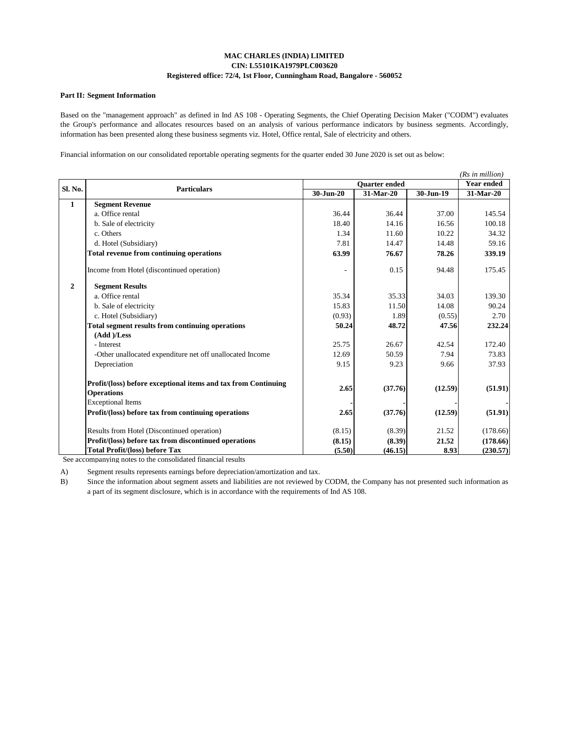#### **Part II: Segment Information**

Based on the "management approach" as defined in Ind AS 108 - Operating Segments, the Chief Operating Decision Maker ("CODM") evaluates the Group's performance and allocates resources based on an analysis of various performance indicators by business segments. Accordingly, information has been presented along these business segments viz. Hotel, Office rental, Sale of electricity and others.

Financial information on our consolidated reportable operating segments for the quarter ended 30 June 2020 is set out as below:

|                |                                                                |           |               |           | (Rs in million) |  |
|----------------|----------------------------------------------------------------|-----------|---------------|-----------|-----------------|--|
| Sl. No.        | <b>Particulars</b>                                             |           | Quarter ended |           |                 |  |
|                |                                                                | 30-Jun-20 | $31$ -Mar-20  | 30-Jun-19 | 31-Mar-20       |  |
| $\mathbf{1}$   | <b>Segment Revenue</b>                                         |           |               |           |                 |  |
|                | a. Office rental                                               | 36.44     | 36.44         | 37.00     | 145.54          |  |
|                | b. Sale of electricity                                         | 18.40     | 14.16         | 16.56     | 100.18          |  |
|                | c. Others                                                      | 1.34      | 11.60         | 10.22     | 34.32           |  |
|                | d. Hotel (Subsidiary)                                          | 7.81      | 14.47         | 14.48     | 59.16           |  |
|                | Total revenue from continuing operations                       | 63.99     | 76.67         | 78.26     | 339.19          |  |
|                | Income from Hotel (discontinued operation)                     |           | 0.15          | 94.48     | 175.45          |  |
| $\overline{2}$ | <b>Segment Results</b>                                         |           |               |           |                 |  |
|                | a. Office rental                                               | 35.34     | 35.33         | 34.03     | 139.30          |  |
|                | b. Sale of electricity                                         | 15.83     | 11.50         | 14.08     | 90.24           |  |
|                | c. Hotel (Subsidiary)                                          | (0.93)    | 1.89          | (0.55)    | 2.70            |  |
|                | <b>Total segment results from continuing operations</b>        | 50.24     | 48.72         | 47.56     | 232.24          |  |
|                | (Add )/Less                                                    |           |               |           |                 |  |
|                | - Interest                                                     | 25.75     | 26.67         | 42.54     | 172.40          |  |
|                | -Other unallocated expenditure net off unallocated Income      | 12.69     | 50.59         | 7.94      | 73.83           |  |
|                | Depreciation                                                   | 9.15      | 9.23          | 9.66      | 37.93           |  |
|                | Profit/(loss) before exceptional items and tax from Continuing | 2.65      |               |           |                 |  |
|                | <b>Operations</b>                                              |           | (37.76)       | (12.59)   | (51.91)         |  |
|                | <b>Exceptional Items</b>                                       |           |               |           |                 |  |
|                | Profit/(loss) before tax from continuing operations            | 2.65      | (37.76)       | (12.59)   | (51.91)         |  |
|                | Results from Hotel (Discontinued operation)                    | (8.15)    | (8.39)        | 21.52     | (178.66)        |  |
|                | Profit/(loss) before tax from discontinued operations          | (8.15)    | (8.39)        | 21.52     | (178.66)        |  |
|                | Total Profit/(loss) before Tax                                 | (5.50)    | (46.15)       | 8.93      | (230.57)        |  |

See accompanying notes to the consolidated financial results

A) Segment results represents earnings before depreciation/amortization and tax.

B) Since the information about segment assets and liabilities are not reviewed by CODM, the Company has not presented such information as a part of its segment disclosure, which is in accordance with the requirements of Ind AS 108.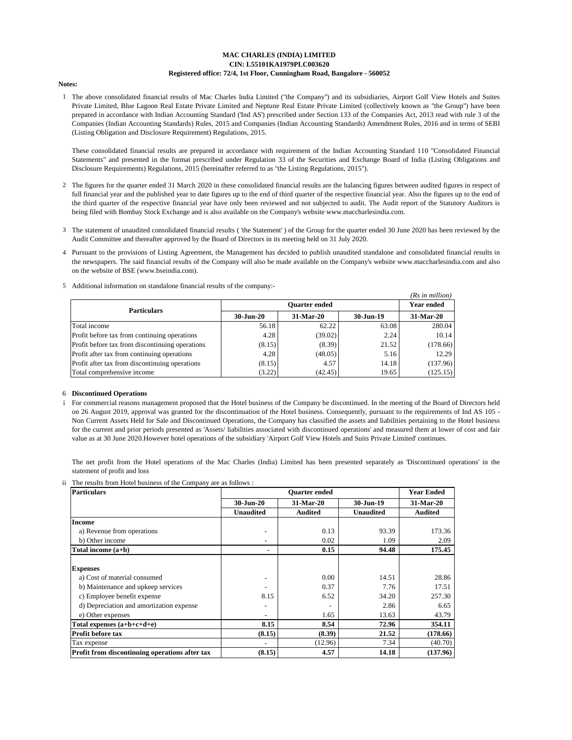#### **Notes:**

1 The above consolidated financial results of Mac Charles India Limited ("the Company") and its subsidiaries, Airport Golf View Hotels and Suites Private Limited, Blue Lagoon Real Estate Private Limited and Neptune Real Estate Private Limited (collectively known as "the Group") have been prepared in accordance with Indian Accounting Standard ('Ind AS') prescribed under Section 133 of the Companies Act, 2013 read with rule 3 of the Companies (Indian Accounting Standards) Rules, 2015 and Companies (Indian Accounting Standards) Amendment Rules, 2016 and in terms of SEBI (Listing Obligation and Disclosure Requirement) Regulations, 2015.

These consolidated financial results are prepared in accordance with requirement of the Indian Accounting Standard 110 "Consolidated Financial Statements" and presented in the format prescribed under Regulation 33 of the Securities and Exchange Board of India (Listing Obligations and Disclosure Requirements) Regulations, 2015 (hereinafter referred to as "the Listing Regulations, 2015").

- 2 The figures for the quarter ended 31 March 2020 in these consolidated financial results are the balancing figures between audited figures in respect of full financial year and the published year to date figures up to the end of third quarter of the respective financial year. Also the figures up to the end of the third quarter of the respective financial year have only been reviewed and not subjected to audit. The Audit report of the Statutory Auditors is being filed with Bombay Stock Exchange and is also available on the Company's website www.maccharlesindia.com.
- 3 The statement of unaudited consolidated financial results ( 'the Statement' ) of the Group for the quarter ended 30 June 2020 has been reviewed by the Audit Committee and thereafter approved by the Board of Directors in its meeting held on 31 July 2020.
- 4 Pursuant to the provisions of Listing Agreement, the Management has decided to publish unaudited standalone and consolidated financial results in the newspapers. The said financial results of the Company will also be made available on the Company's website www.maccharlesindia.com and also on the website of BSE (www.bseindia.com).
- 5 Additional information on standalone financial results of the company:-

|                                                 |               |                   |           | (Rs in million) |
|-------------------------------------------------|---------------|-------------------|-----------|-----------------|
| <b>Particulars</b>                              |               | <b>Year ended</b> |           |                 |
|                                                 | $30 - Jun-20$ | 31-Mar-20         | 30-Jun-19 | 31-Mar-20       |
| Total income                                    | 56.18         | 62.22             | 63.08     | 280.04          |
| Profit before tax from continuing operations    | 4.28          | (39.02)           | 2.24      | 10.14           |
| Profit before tax from discontinuing operations | (8.15)        | (8.39)            | 21.52     | (178.66)        |
| Profit after tax from continuing operations     | 4.28          | (48.05)           | 5.16      | 12.29           |
| Profit after tax from discontinuing operations  | (8.15)        | 4.57              | 14.18     | (137.96)        |
| Total comprehensive income                      | (3.22)        | (42.45)           | 19.65     | (125.15)        |

#### 6 **Discontinued Operations**

i For commercial reasons management proposed that the Hotel business of the Company be discontinued. In the meeting of the Board of Directors held on 26 August 2019, approval was granted for the discontinuation of the Hotel business. Consequently, pursuant to the requirements of Ind AS 105 - Non Current Assets Held for Sale and Discontinued Operations, the Company has classified the assets and liabilities pertaining to the Hotel business for the current and prior periods presented as 'Assets/ liabilities associated with discontinued operations' and measured them at lower of cost and fair value as at 30 June 2020.However hotel operations of the subsidiary 'Airport Golf View Hotels and Suits Private Limited' continues.

The net profit from the Hotel operations of the Mac Charles (India) Limited has been presented separately as 'Discontinued operations' in the statement of profit and loss

ii The results from Hotel business of the Company are as follows :

| <b>Particulars</b>                             |                          | <b>Year Ended</b> |                  |                |
|------------------------------------------------|--------------------------|-------------------|------------------|----------------|
|                                                | 30-Jun-20                | 31-Mar-20         | 30-Jun-19        | 31-Mar-20      |
|                                                | <b>Unaudited</b>         | <b>Audited</b>    | <b>Unaudited</b> | <b>Audited</b> |
| <b>Income</b>                                  |                          |                   |                  |                |
| a) Revenue from operations                     | ٠                        | 0.13              | 93.39            | 173.36         |
| b) Other income                                | ۰                        | 0.02              | 1.09             | 2.09           |
| Total income (a+b)                             | ۰                        | 0.15              | 94.48            | 175.45         |
|                                                |                          |                   |                  |                |
| <b>Expenses</b>                                |                          |                   |                  |                |
| a) Cost of material consumed                   | $\overline{\phantom{a}}$ | 0.00              | 14.51            | 28.86          |
| b) Maintenance and upkeep services             |                          | 0.37              | 7.76             | 17.51          |
| c) Employee benefit expense                    | 8.15                     | 6.52              | 34.20            | 257.30         |
| d) Depreciation and amortization expense       | ۰                        |                   | 2.86             | 6.65           |
| e) Other expenses                              | ٠                        | 1.65              | 13.63            | 43.79          |
| Total expenses $(a+b+c+d+e)$                   | 8.15                     | 8.54              | 72.96            | 354.11         |
| <b>Profit before tax</b>                       | (8.15)                   | (8.39)            | 21.52            | (178.66)       |
| Tax expense                                    |                          | (12.96)           | 7.34             | (40.70)        |
| Profit from discontinuing operations after tax | (8.15)                   | 4.57              | 14.18            | (137.96)       |